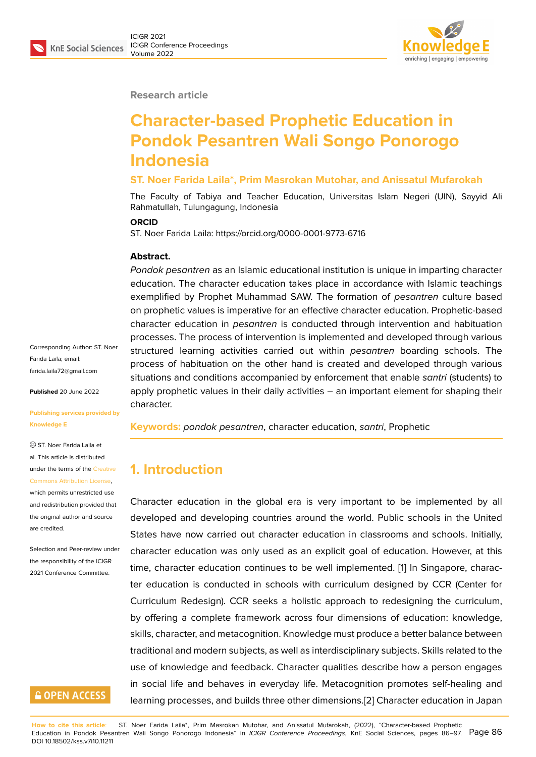

**Research article**

# **Character-based Prophetic Education in Pondok Pesantren Wali Songo Ponorogo Indonesia**

#### **ST. Noer Farida Laila\*, Prim Masrokan Mutohar, and Anissatul Mufarokah**

The Faculty of Tabiya and Teacher Education, Universitas Islam Negeri (UIN), Sayyid Ali Rahmatullah, Tulungagung, Indonesia

#### **ORCID**

ST. Noer Farida Laila: https://orcid.org/0000-0001-9773-6716

#### **Abstract.**

*Pondok pesantren* as an Islamic educational institution is unique in imparting character education. The character education takes place in accordance with Islamic teachings exemplified by Prophet Muhammad SAW. The formation of *pesantren* culture based on prophetic values is imperative for an effective character education. Prophetic-based character education in *pesantren* is conducted through intervention and habituation processes. The process of intervention is implemented and developed through various structured learning activities carried out within *pesantren* boarding schools. The process of habituation on the other hand is created and developed through various situations and conditions accompanied by enforcement that enable *santri* (students) to apply prophetic values in their daily activities – an important element for shaping their character.

**Keywords:** *pondok pesantren*, character education, *santri*, Prophetic

# **1. Introduction**

Character education in the global era is very important to be implemented by all developed and developing countries around the world. Public schools in the United States have now carried out character education in classrooms and schools. Initially, character education was only used as an explicit goal of education. However, at this time, character education continues to be well implemented. [1] In Singapore, character education is conducted in schools with curriculum designed by CCR (Center for Curriculum Redesign). CCR seeks a holistic approach to redesigning the curriculum, by offering a complete framework across four dimensions of [e](#page-8-0)ducation: knowledge, skills, character, and metacognition. Knowledge must produce a better balance between traditional and modern subjects, as well as interdisciplinary subjects. Skills related to the use of knowledge and feedback. Character qualities describe how a person engages in social life and behaves in everyday life. Metacognition promotes self-healing and learning processes, and builds three other dimensions.[2] Character education in Japan

Corresponding Author: ST. Noer Farida Laila; email: farida.laila72@gmail.com

**Published** 20 June 2022

#### **[Publishing services prov](mailto:farida.laila72@gmail.com)ided by Knowledge E**

ST. Noer Farida Laila et al. This article is distributed under the terms of the Creative Commons Attribution License,

which permits unrestricted use and redistribution provided that the original author and [source](https://creativecommons.org/licenses/by/4.0/) [are credited.](https://creativecommons.org/licenses/by/4.0/)

Selection and Peer-review under the responsibility of the ICIGR 2021 Conference Committee.

### **GOPEN ACCESS**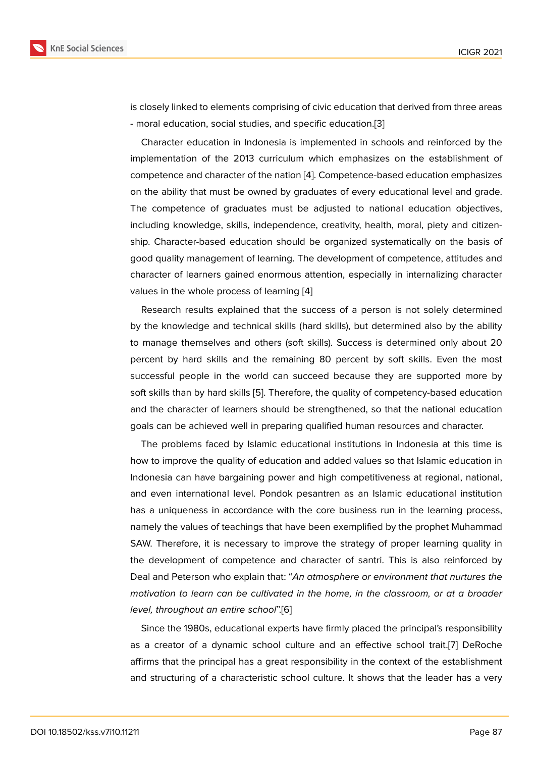is closely linked to elements comprising of civic education that derived from three areas - moral education, social studies, and specific education.[3]

Character education in Indonesia is implemented in schools and reinforced by the implementation of the 2013 curriculum which emphasizes on the establishment of competence and character of the nation [4]. Competence-[b](#page-8-1)ased education emphasizes on the ability that must be owned by graduates of every educational level and grade. The competence of graduates must be adjusted to national education objectives, including knowledge, skills, independen[ce](#page-8-2), creativity, health, moral, piety and citizenship. Character-based education should be organized systematically on the basis of good quality management of learning. The development of competence, attitudes and character of learners gained enormous attention, especially in internalizing character values in the whole process of learning [4]

Research results explained that the success of a person is not solely determined by the knowledge and technical skills (hard skills), but determined also by the ability to manage themselves and others (soft [s](#page-8-2)kills). Success is determined only about 20 percent by hard skills and the remaining 80 percent by soft skills. Even the most successful people in the world can succeed because they are supported more by soft skills than by hard skills [5]. Therefore, the quality of competency-based education and the character of learners should be strengthened, so that the national education goals can be achieved well in preparing qualified human resources and character.

The problems faced by Is[la](#page-8-3)mic educational institutions in Indonesia at this time is how to improve the quality of education and added values so that Islamic education in Indonesia can have bargaining power and high competitiveness at regional, national, and even international level. Pondok pesantren as an Islamic educational institution has a uniqueness in accordance with the core business run in the learning process, namely the values of teachings that have been exemplified by the prophet Muhammad SAW. Therefore, it is necessary to improve the strategy of proper learning quality in the development of competence and character of santri. This is also reinforced by Deal and Peterson who explain that: "*An atmosphere or environment that nurtures the motivation to learn can be cultivated in the home, in the classroom, or at a broader level, throughout an entire school*".[6]

Since the 1980s, educational experts have firmly placed the principal's responsibility as a creator of a dynamic school culture and an effective school trait.[7] DeRoche affirms that the principal has a gre[at](#page-8-4) responsibility in the context of the establishment and structuring of a characteristic school culture. It shows that the leader has a very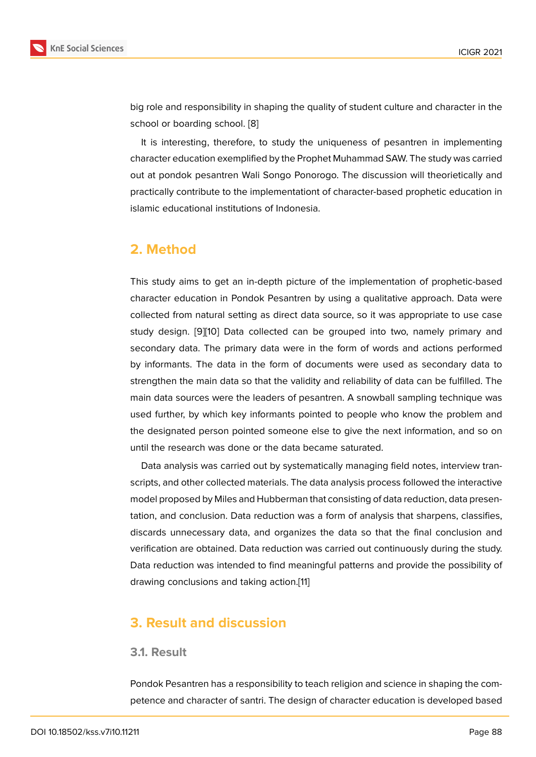big role and responsibility in shaping the quality of student culture and character in the school or boarding school. [8]

It is interesting, therefore, to study the uniqueness of pesantren in implementing character education exemplified by the Prophet Muhammad SAW. The study was carried out at pondok pesantren W[al](#page-8-5)i Songo Ponorogo. The discussion will theorietically and practically contribute to the implementationt of character-based prophetic education in islamic educational institutions of Indonesia.

# **2. Method**

This study aims to get an in-depth picture of the implementation of prophetic-based character education in Pondok Pesantren by using a qualitative approach. Data were collected from natural setting as direct data source, so it was appropriate to use case study design. [9][10] Data collected can be grouped into two, namely primary and secondary data. The primary data were in the form of words and actions performed by informants. The data in the form of documents were used as secondary data to strengthen the [m](#page-8-6)[ain](#page-8-7) data so that the validity and reliability of data can be fulfilled. The main data sources were the leaders of pesantren. A snowball sampling technique was used further, by which key informants pointed to people who know the problem and the designated person pointed someone else to give the next information, and so on until the research was done or the data became saturated.

Data analysis was carried out by systematically managing field notes, interview transcripts, and other collected materials. The data analysis process followed the interactive model proposed by Miles and Hubberman that consisting of data reduction, data presentation, and conclusion. Data reduction was a form of analysis that sharpens, classifies, discards unnecessary data, and organizes the data so that the final conclusion and verification are obtained. Data reduction was carried out continuously during the study. Data reduction was intended to find meaningful patterns and provide the possibility of drawing conclusions and taking action.[11]

# **3. Result and discussion**

### **3.1. Result**

Pondok Pesantren has a responsibility to teach religion and science in shaping the competence and character of santri. The design of character education is developed based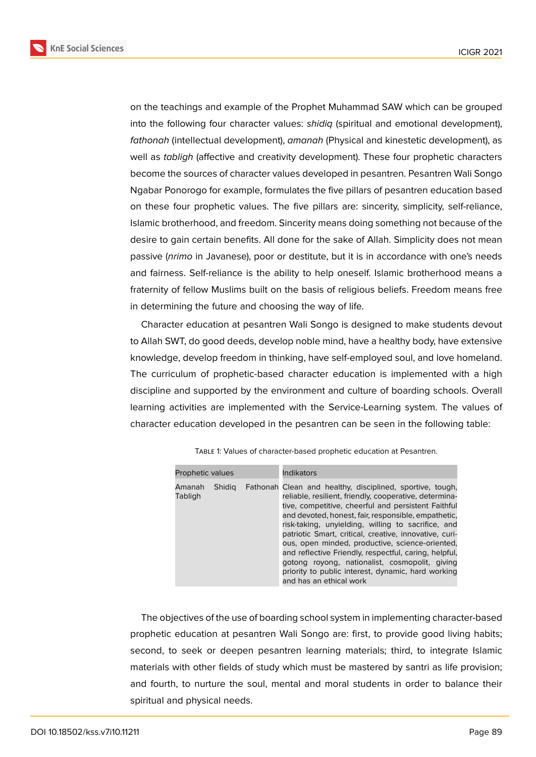**KnE Social Sciences** 



on the teachings and example of the Prophet Muhammad SAW which can be grouped into the following four character values: *shidiq* (spiritual and emotional development), *fathonah* (intellectual development), *amanah* (Physical and kinestetic development), as well as *tabligh* (affective and creativity development). These four prophetic characters become the sources of character values developed in pesantren. Pesantren Wali Songo Ngabar Ponorogo for example, formulates the five pillars of pesantren education based on these four prophetic values. The five pillars are: sincerity, simplicity, self-reliance, Islamic brotherhood, and freedom. Sincerity means doing something not because of the desire to gain certain benefits. All done for the sake of Allah. Simplicity does not mean passive (*nrimo* in Javanese), poor or destitute, but it is in accordance with one's needs and fairness. Self-reliance is the ability to help oneself. Islamic brotherhood means a fraternity of fellow Muslims built on the basis of religious beliefs. Freedom means free in determining the future and choosing the way of life.

Character education at pesantren Wali Songo is designed to make students devout to Allah SWT, do good deeds, develop noble mind, have a healthy body, have extensive knowledge, develop freedom in thinking, have self-employed soul, and love homeland. The curriculum of prophetic-based character education is implemented with a high discipline and supported by the environment and culture of boarding schools. Overall learning activities are implemented with the Service-Learning system. The values of character education developed in the pesantren can be seen in the following table:

| Prophetic values  |        |  | <b>Indikators</b>                                                                                                                                                                                                                                                                                                                                                                                                                                                                                                                                                                                |
|-------------------|--------|--|--------------------------------------------------------------------------------------------------------------------------------------------------------------------------------------------------------------------------------------------------------------------------------------------------------------------------------------------------------------------------------------------------------------------------------------------------------------------------------------------------------------------------------------------------------------------------------------------------|
| Amanah<br>Tabligh | Shidia |  | Fathonah Clean and healthy, disciplined, sportive, tough,<br>reliable, resilient, friendly, cooperative, determina-<br>tive, competitive, cheerful and persistent Faithful<br>and devoted, honest, fair, responsible, empathetic,<br>risk-taking, unyielding, willing to sacrifice, and<br>patriotic Smart, critical, creative, innovative, curi-<br>ous, open minded, productive, science-oriented,<br>and reflective Friendly, respectful, caring, helpful,<br>gotong royong, nationalist, cosmopolit, giving<br>priority to public interest, dynamic, hard working<br>and has an ethical work |

Table 1: Values of character-based prophetic education at Pesantren.

The objectives of the use of boarding school system in implementing character-based prophetic education at pesantren Wali Songo are: first, to provide good living habits; second, to seek or deepen pesantren learning materials; third, to integrate Islamic materials with other fields of study which must be mastered by santri as life provision; and fourth, to nurture the soul, mental and moral students in order to balance their spiritual and physical needs.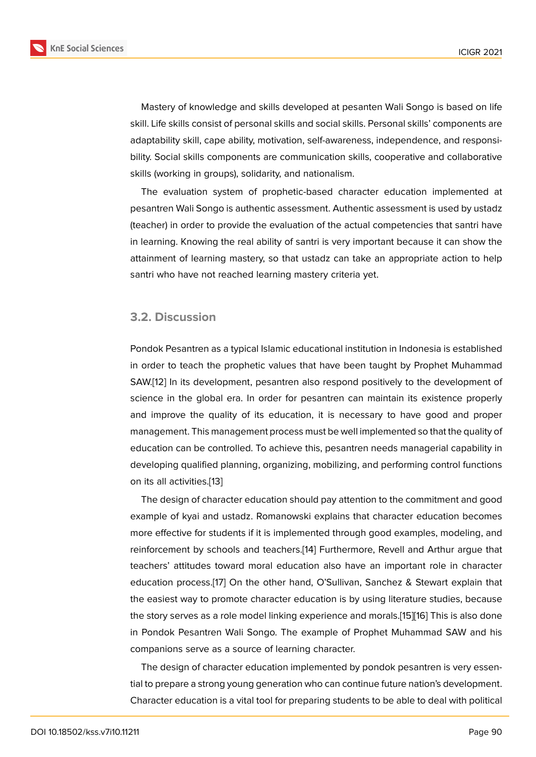Mastery of knowledge and skills developed at pesanten Wali Songo is based on life skill. Life skills consist of personal skills and social skills. Personal skills' components are adaptability skill, cape ability, motivation, self-awareness, independence, and responsibility. Social skills components are communication skills, cooperative and collaborative skills (working in groups), solidarity, and nationalism.

The evaluation system of prophetic-based character education implemented at pesantren Wali Songo is authentic assessment. Authentic assessment is used by ustadz (teacher) in order to provide the evaluation of the actual competencies that santri have in learning. Knowing the real ability of santri is very important because it can show the attainment of learning mastery, so that ustadz can take an appropriate action to help santri who have not reached learning mastery criteria yet.

### **3.2. Discussion**

Pondok Pesantren as a typical Islamic educational institution in Indonesia is established in order to teach the prophetic values that have been taught by Prophet Muhammad SAW.[12] In its development, pesantren also respond positively to the development of science in the global era. In order for pesantren can maintain its existence properly and improve the quality of its education, it is necessary to have good and proper mana[ge](#page-9-0)ment. This management process must be well implemented so that the quality of education can be controlled. To achieve this, pesantren needs managerial capability in developing qualified planning, organizing, mobilizing, and performing control functions on its all activities.[13]

The design of character education should pay attention to the commitment and good example of kyai and ustadz. Romanowski explains that character education becomes more effective for [stu](#page-9-1)dents if it is implemented through good examples, modeling, and reinforcement by schools and teachers.[14] Furthermore, Revell and Arthur argue that teachers' attitudes toward moral education also have an important role in character education process.[17] On the other hand, O'Sullivan, Sanchez & Stewart explain that the easiest way to promote character e[duc](#page-9-2)ation is by using literature studies, because the story serves as a role model linking experience and morals.[15][16] This is also done in Pondok Pesantr[en](#page-9-3) Wali Songo. The example of Prophet Muhammad SAW and his companions serve as a source of learning character.

The design of character education implemented by pondok [pes](#page-9-4)[ant](#page-9-5)ren is very essential to prepare a strong young generation who can continue future nation's development. Character education is a vital tool for preparing students to be able to deal with political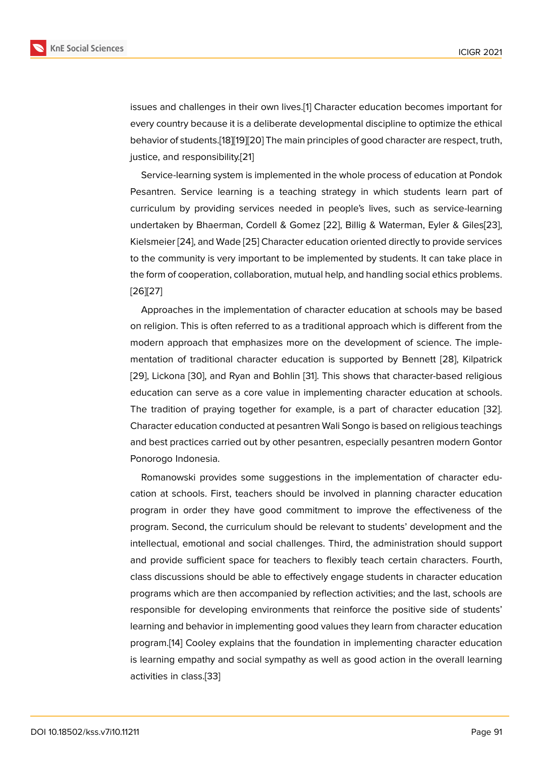issues and challenges in their own lives.[1] Character education becomes important for every country because it is a deliberate developmental discipline to optimize the ethical behavior of students.[18][19][20] The main principles of good character are respect, truth, justice, and responsibility.[21]

Service-learning system is implemented in the whole process of education at Pondok Pesantren. Service l[ear](#page-9-6)[nin](#page-9-7)[g is](#page-9-8) a teaching strategy in which students learn part of curriculum by providing [ser](#page-9-9)vices needed in people's lives, such as service-learning undertaken by Bhaerman, Cordell & Gomez [22], Billig & Waterman, Eyler & Giles[23], Kielsmeier [24], and Wade [25] Character education oriented directly to provide services to the community is very important to be implemented by students. It can take place in the form of cooperation, collaboration, mutual [hel](#page-9-10)p, and handling social ethics probl[ems](#page-9-11). [26][27]

Approaches in the implementation of character education at schools may be based on religion. This is often referred to as a traditional approach which is different from the [mo](#page-9-12)[dern](#page-9-13) approach that emphasizes more on the development of science. The implementation of traditional character education is supported by Bennett [28], Kilpatrick [29], Lickona [30], and Ryan and Bohlin [31]. This shows that character-based religious education can serve as a core value in implementing character education at schools. The tradition of praying together for example, is a part of character e[duc](#page-9-14)ation [32]. [Cha](#page-10-0)racter ed[ucat](#page-10-1)ion conducted at pesan[tre](#page-10-2)n Wali Songo is based on religious teachings and best practices carried out by other pesantren, especially pesantren modern Gontor Ponorogo Indonesia.

Romanowski provides some suggestions in the implementation of character education at schools. First, teachers should be involved in planning character education program in order they have good commitment to improve the effectiveness of the program. Second, the curriculum should be relevant to students' development and the intellectual, emotional and social challenges. Third, the administration should support and provide sufficient space for teachers to flexibly teach certain characters. Fourth, class discussions should be able to effectively engage students in character education programs which are then accompanied by reflection activities; and the last, schools are responsible for developing environments that reinforce the positive side of students' learning and behavior in implementing good values they learn from character education program.[14] Cooley explains that the foundation in implementing character education is learning empathy and social sympathy as well as good action in the overall learning activities in class.[33]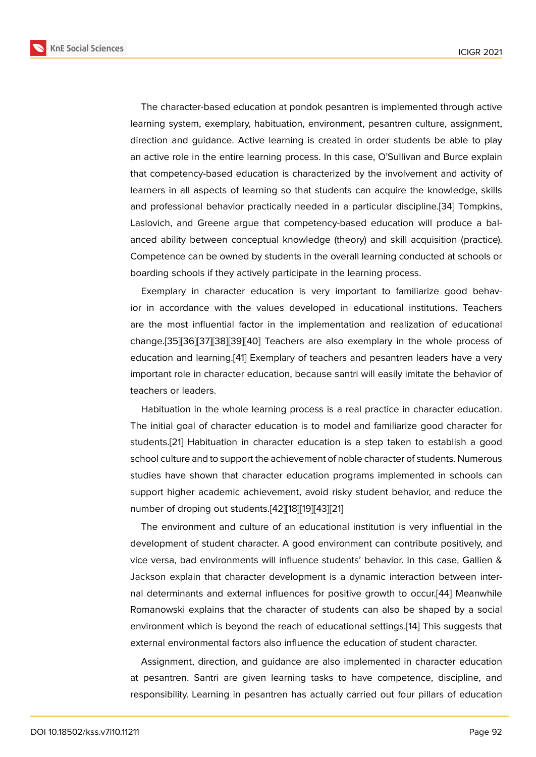The character-based education at pondok pesantren is implemented through active learning system, exemplary, habituation, environment, pesantren culture, assignment, direction and guidance. Active learning is created in order students be able to play an active role in the entire learning process. In this case, O'Sullivan and Burce explain that competency-based education is characterized by the involvement and activity of learners in all aspects of learning so that students can acquire the knowledge, skills and professional behavior practically needed in a particular discipline.[34] Tompkins, Laslovich, and Greene argue that competency-based education will produce a balanced ability between conceptual knowledge (theory) and skill acquisition (practice). Competence can be owned by students in the overall learning conducte[d a](#page-10-3)t schools or boarding schools if they actively participate in the learning process.

Exemplary in character education is very important to familiarize good behavior in accordance with the values developed in educational institutions. Teachers are the most influential factor in the implementation and realization of educational change.[35][36][37][38][39][40] Teachers are also exemplary in the whole process of education and learning.[41] Exemplary of teachers and pesantren leaders have a very important role in character education, because santri will easily imitate the behavior of teacher[s or](#page-10-4) [lea](#page-10-5)[ders](#page-10-6)[.](#page-10-7)

Habituation in the wh[ole](#page-10-8) learning process is a real practice in character education. The initial goal of character education is to model and familiarize good character for students.[21] Habituation in character education is a step taken to establish a good school culture and to support the achievement of noble character of students. Numerous studies have shown that character education programs implemented in schools can support [high](#page-9-9)er academic achievement, avoid risky student behavior, and reduce the number of droping out students.[42][18][19][43][21]

The environment and culture of an educational institution is very influential in the development of student character. A good environment can contribute positively, and vice versa, bad environments wi[ll in](#page-10-9)[flu](#page-9-6)[enc](#page-9-7)[e st](#page-10-10)[ude](#page-9-9)nts' behavior. In this case, Gallien & Jackson explain that character development is a dynamic interaction between internal determinants and external influences for positive growth to occur.[44] Meanwhile Romanowski explains that the character of students can also be shaped by a social environment which is beyond the reach of educational settings.[14] This suggests that external environmental factors also influence the education of student [cha](#page-10-11)racter.

Assignment, direction, and guidance are also implemented in character education at pesantren. Santri are given learning tasks to have compe[ten](#page-9-2)ce, discipline, and responsibility. Learning in pesantren has actually carried out four pillars of education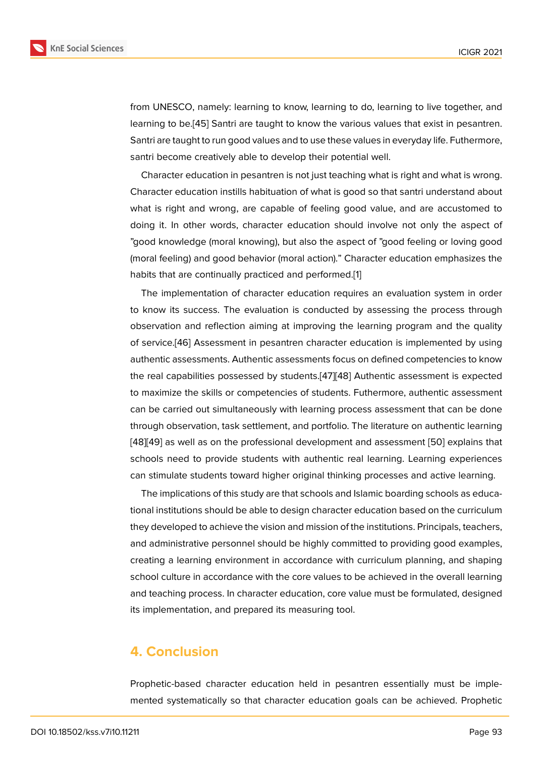from UNESCO, namely: learning to know, learning to do, learning to live together, and learning to be.[45] Santri are taught to know the various values that exist in pesantren. Santri are taught to run good values and to use these values in everyday life. Futhermore, santri become creatively able to develop their potential well.

Character e[duc](#page-11-0)ation in pesantren is not just teaching what is right and what is wrong. Character education instills habituation of what is good so that santri understand about what is right and wrong, are capable of feeling good value, and are accustomed to doing it. In other words, character education should involve not only the aspect of "good knowledge (moral knowing), but also the aspect of "good feeling or loving good (moral feeling) and good behavior (moral action)." Character education emphasizes the habits that are continually practiced and performed.[1]

The implementation of character education requires an evaluation system in order to know its success. The evaluation is conducted by assessing the process through observation and reflection aiming at improving the [l](#page-8-0)earning program and the quality of service.[46] Assessment in pesantren character education is implemented by using authentic assessments. Authentic assessments focus on defined competencies to know the real capabilities possessed by students.[47][48] Authentic assessment is expected to maximiz[e th](#page-11-1)e skills or competencies of students. Futhermore, authentic assessment can be carried out simultaneously with learning process assessment that can be done through observation, task settlement, and p[ortfo](#page-11-2)[lio.](#page-11-3) The literature on authentic learning [48][49] as well as on the professional development and assessment [50] explains that schools need to provide students with authentic real learning. Learning experiences can stimulate students toward higher original thinking processes and active learning.

[T](#page-11-3)[he i](#page-11-4)mplications of this study are that schools and Islamic boarding s[cho](#page-11-5)ols as educational institutions should be able to design character education based on the curriculum they developed to achieve the vision and mission of the institutions. Principals, teachers, and administrative personnel should be highly committed to providing good examples, creating a learning environment in accordance with curriculum planning, and shaping school culture in accordance with the core values to be achieved in the overall learning and teaching process. In character education, core value must be formulated, designed its implementation, and prepared its measuring tool.

### **4. Conclusion**

Prophetic-based character education held in pesantren essentially must be implemented systematically so that character education goals can be achieved. Prophetic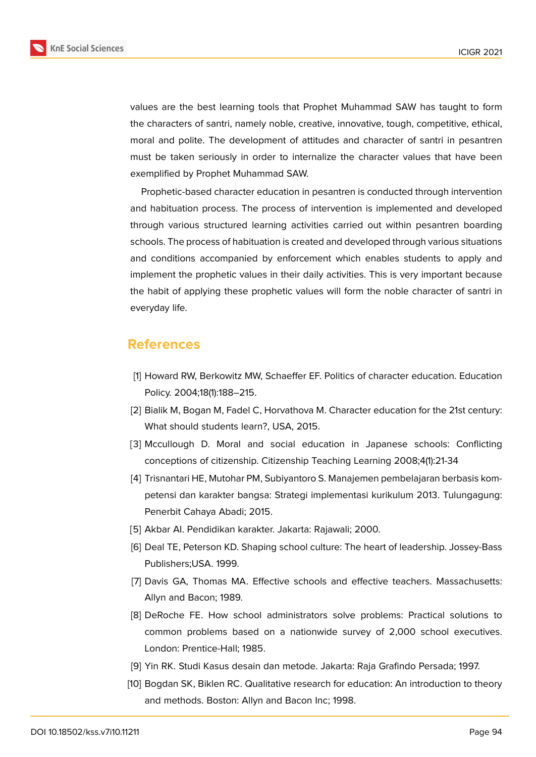

values are the best learning tools that Prophet Muhammad SAW has taught to form the characters of santri, namely noble, creative, innovative, tough, competitive, ethical, moral and polite. The development of attitudes and character of santri in pesantren must be taken seriously in order to internalize the character values that have been exemplified by Prophet Muhammad SAW.

Prophetic-based character education in pesantren is conducted through intervention and habituation process. The process of intervention is implemented and developed through various structured learning activities carried out within pesantren boarding schools. The process of habituation is created and developed through various situations and conditions accompanied by enforcement which enables students to apply and implement the prophetic values in their daily activities. This is very important because the habit of applying these prophetic values will form the noble character of santri in everyday life.

### **References**

- <span id="page-8-0"></span>[1] Howard RW, Berkowitz MW, Schaeffer EF. Politics of character education. Education Policy. 2004;18(1):188–215.
- [2] Bialik M, Bogan M, Fadel C, Horvathova M. Character education for the 21st century: What should students learn?, USA, 2015.
- <span id="page-8-1"></span>[3] Mccullough D. Moral and social education in Japanese schools: Conflicting conceptions of citizenship. Citizenship Teaching Learning 2008;4(1):21-34
- <span id="page-8-2"></span>[4] Trisnantari HE, Mutohar PM, Subiyantoro S. Manajemen pembelajaran berbasis kompetensi dan karakter bangsa: Strategi implementasi kurikulum 2013. Tulungagung: Penerbit Cahaya Abadi; 2015.
- <span id="page-8-3"></span>[5] Akbar AI. Pendidikan karakter. Jakarta: Rajawali; 2000.
- <span id="page-8-4"></span>[6] Deal TE, Peterson KD. Shaping school culture: The heart of leadership. Jossey-Bass Publishers;USA. 1999.
- [7] Davis GA, Thomas MA. Effective schools and effective teachers. Massachusetts: Allyn and Bacon; 1989.
- <span id="page-8-5"></span>[8] DeRoche FE. How school administrators solve problems: Practical solutions to common problems based on a nationwide survey of 2,000 school executives. London: Prentice-Hall; 1985.
- <span id="page-8-6"></span>[9] Yin RK. Studi Kasus desain dan metode. Jakarta: Raja Grafindo Persada; 1997.
- <span id="page-8-7"></span>[10] Bogdan SK, Biklen RC. Qualitative research for education: An introduction to theory and methods. Boston: Allyn and Bacon Inc; 1998.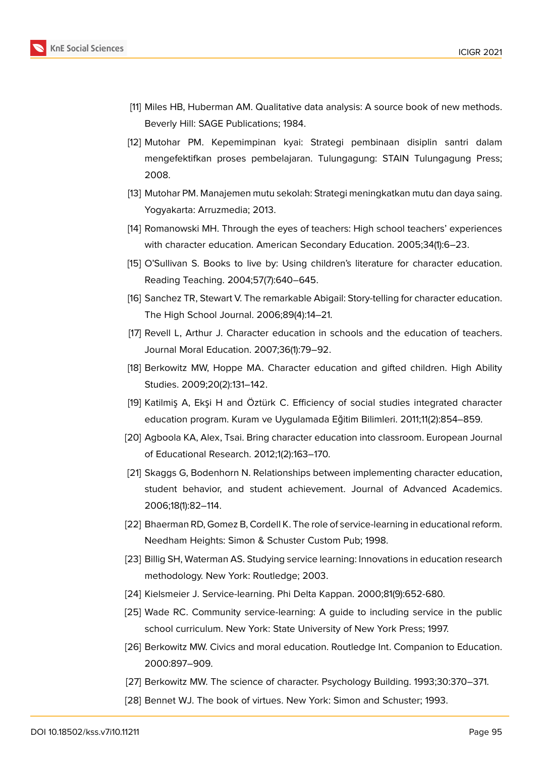

- [11] Miles HB, Huberman AM. Qualitative data analysis: A source book of new methods. Beverly Hill: SAGE Publications; 1984.
- <span id="page-9-0"></span>[12] Mutohar PM. Kepemimpinan kyai: Strategi pembinaan disiplin santri dalam mengefektifkan proses pembelajaran. Tulungagung: STAIN Tulungagung Press; 2008.
- <span id="page-9-1"></span>[13] Mutohar PM. Manajemen mutu sekolah: Strategi meningkatkan mutu dan daya saing. Yogyakarta: Arruzmedia; 2013.
- <span id="page-9-2"></span>[14] Romanowski MH. Through the eyes of teachers: High school teachers' experiences with character education. American Secondary Education. 2005;34(1):6–23.
- <span id="page-9-4"></span>[15] O'Sullivan S. Books to live by: Using children's literature for character education. Reading Teaching. 2004;57(7):640–645.
- <span id="page-9-5"></span>[16] Sanchez TR, Stewart V. The remarkable Abigail: Story-telling for character education. The High School Journal. 2006;89(4):14–21.
- <span id="page-9-3"></span>[17] Revell L, Arthur J. Character education in schools and the education of teachers. Journal Moral Education. 2007;36(1):79–92.
- <span id="page-9-6"></span>[18] Berkowitz MW, Hoppe MA. Character education and gifted children. High Ability Studies. 2009;20(2):131–142.
- <span id="page-9-7"></span>[19] Katilmiş A, Ekşi H and Öztürk C. Efficiency of social studies integrated character education program. Kuram ve Uygulamada Eğitim Bilimleri. 2011;11(2):854–859.
- <span id="page-9-8"></span>[20] Agboola KA, Alex, Tsai. Bring character education into classroom. European Journal of Educational Research. 2012;1(2):163–170.
- <span id="page-9-9"></span>[21] Skaggs G, Bodenhorn N. Relationships between implementing character education, student behavior, and student achievement. Journal of Advanced Academics. 2006;18(1):82–114.
- <span id="page-9-10"></span>[22] Bhaerman RD, Gomez B, Cordell K. The role of service-learning in educational reform. Needham Heights: Simon & Schuster Custom Pub; 1998.
- <span id="page-9-11"></span>[23] Billig SH, Waterman AS. Studying service learning: Innovations in education research methodology. New York: Routledge; 2003.
- [24] Kielsmeier J. Service-learning. Phi Delta Kappan. 2000;81(9):652-680.
- [25] Wade RC. Community service-learning: A guide to including service in the public school curriculum. New York: State University of New York Press; 1997.
- <span id="page-9-12"></span>[26] Berkowitz MW. Civics and moral education. Routledge Int. Companion to Education. 2000:897–909.
- <span id="page-9-13"></span>[27] Berkowitz MW. The science of character. Psychology Building. 1993;30:370–371.
- <span id="page-9-14"></span>[28] Bennet WJ. The book of virtues. New York: Simon and Schuster; 1993.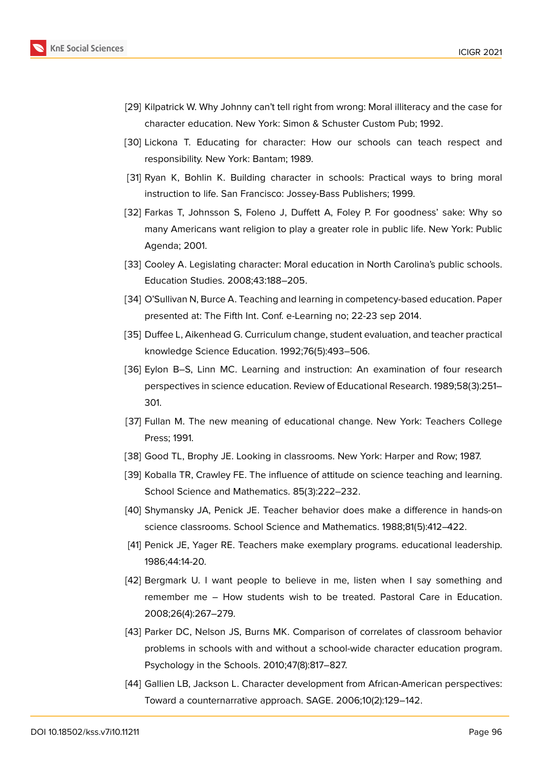

- <span id="page-10-0"></span>[29] Kilpatrick W. Why Johnny can't tell right from wrong: Moral illiteracy and the case for character education. New York: Simon & Schuster Custom Pub; 1992.
- <span id="page-10-1"></span>[30] Lickona T. Educating for character: How our schools can teach respect and responsibility. New York: Bantam; 1989.
- <span id="page-10-2"></span>[31] Ryan K, Bohlin K. Building character in schools: Practical ways to bring moral instruction to life. San Francisco: Jossey-Bass Publishers; 1999.
- [32] Farkas T, Johnsson S, Foleno J, Duffett A, Foley P. For goodness' sake: Why so many Americans want religion to play a greater role in public life. New York: Public Agenda; 2001.
- [33] Cooley A. Legislating character: Moral education in North Carolina's public schools. Education Studies. 2008;43:188–205.
- <span id="page-10-3"></span>[34] O'Sullivan N, Burce A. Teaching and learning in competency-based education. Paper presented at: The Fifth Int. Conf. e-Learning no; 22-23 sep 2014.
- <span id="page-10-4"></span>[35] Duffee L, Aikenhead G. Curriculum change, student evaluation, and teacher practical knowledge Science Education. 1992;76(5):493–506.
- <span id="page-10-5"></span>[36] Eylon B–S, Linn MC. Learning and instruction: An examination of four research perspectives in science education. Review of Educational Research. 1989;58(3):251– 301.
- <span id="page-10-6"></span>[37] Fullan M. The new meaning of educational change. New York: Teachers College Press; 1991.
- <span id="page-10-7"></span>[38] Good TL, Brophy JE. Looking in classrooms. New York: Harper and Row; 1987.
- [39] Koballa TR, Crawley FE. The influence of attitude on science teaching and learning. School Science and Mathematics. 85(3):222–232.
- [40] Shymansky JA, Penick JE. Teacher behavior does make a difference in hands-on science classrooms. School Science and Mathematics. 1988;81(5):412–422.
- <span id="page-10-8"></span>[41] Penick JE, Yager RE. Teachers make exemplary programs. educational leadership. 1986;44:14-20.
- <span id="page-10-9"></span>[42] Bergmark U. I want people to believe in me, listen when I say something and remember me – How students wish to be treated. Pastoral Care in Education. 2008;26(4):267–279.
- <span id="page-10-10"></span>[43] Parker DC, Nelson JS, Burns MK. Comparison of correlates of classroom behavior problems in schools with and without a school-wide character education program. Psychology in the Schools. 2010;47(8):817–827.
- <span id="page-10-11"></span>[44] Gallien LB, Jackson L. Character development from African-American perspectives: Toward a counternarrative approach. SAGE. 2006;10(2):129–142.